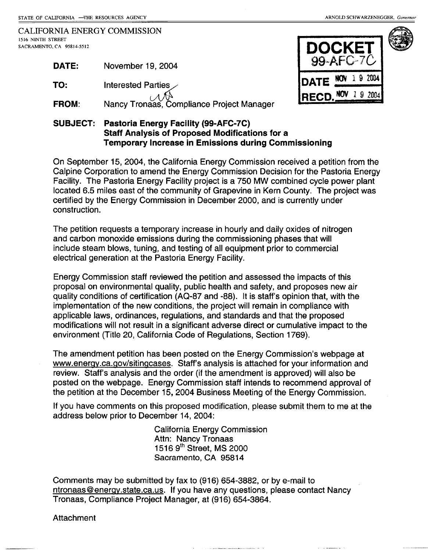**DATE NOV 1 9 2004** 

**DOCKET**  $99 - AFC - 7C$ 

**RECD. NOV** 1 9 2004

CALIFORNIA ENERGY COMMISSION 1516 NINTH STREET SACRAMENTO, CA 95814-5512

| <b>DATE:</b> | November 19, 2004                         |
|--------------|-------------------------------------------|
| TO:          | Interested Parties                        |
| <b>FROM:</b> | Nancy Tronaas, Compliance Project Manager |

## **SUBJECT: Pastoria Energy Facility (99-AFC-7C) Staff Analysis of Proposed Modifications for a Temporary Increase in Emissions during Commissioning**

On September 15, 2004, the California Energy Commission received a petition from the Calpine Corporation to amend the Energy Commission Decision for the Pastoria Energy Facility. The Pastoria Energy Facility project is a 750 MW combined cycle power plant located 6.5 miles east of the community of Grapevine in Kern County. The project was certified by the Energy Commission in December 2000, and is currently under construction.

The petition requests a temporary increase in hourly and daily oxides of nitrogen and carbon monoxide emissions during the commissioning phases that will include steam blows, tuning, and testing of all equipment prior to commercial electrical generation at the Pastoria Energy Facility.

Energy Commission staff reviewed the petition and assessed the impacts of this proposal on environmental quality, public health and safety, and proposes new air quality conditions of certification (AQ-87 and -88). It is staff's opinion that, with the implementation of the new conditions, the project will remain in compliance with applicable laws, ordinances, regulations, and standards and that the proposed modifications will not result in a significant adverse direct or cumulative impact to the environment (Title 20, California Code of Regulations, Section 1769).

The amendment petition has been posted on the Energy Commission's webpage at www.enerqy.ca.gov/sitingcases. Staff's analysis is attached for your information and review. Staff's analysis and the order (if the amendment is approved) will also be posted on the webpage. Energy Commission staff intends to recommend approval of the petition at the December 15, 2004 Business Meeting of the Energy Commission.

If you have comments on this proposed modification, please submit them to me at the address below prior to December 14, 2004:

> California Energy Commission Attn: Nancy Tronaas 1516 9th Street, MS 2000 Sacramento, CA 95814

Comments may be submitted by fax to (916) 654-3882, or by e-mail to ntronaas@energy.state.ca.us. If you have any questions, please contact Nancy Tronaas, Compliance Project Manager, at (916) 654-3864.

**Attachment**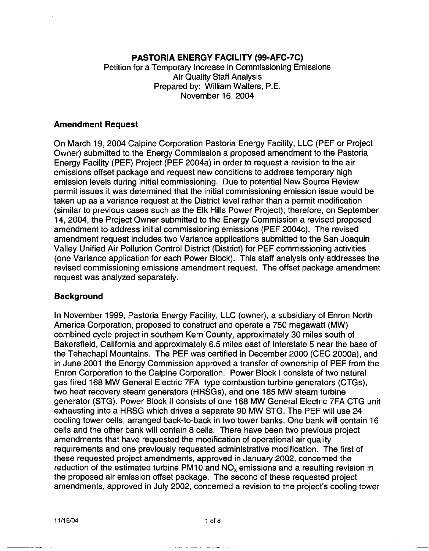## **PASTORIA ENERGY FACILITY (99-AFC-7C)**

Petition for a Temporary Increase in Commissioning Emissions Air Quality Staff Analysis Prepared by: William Walters, P.E. November 16, 2004

#### **Amendment Request**

On March 19, 2004 Calpine Corporation Pastoria Energy Facility, LLC (PEF or Project Owner) submitted to the Energy Commission a proposed amendment to the Pastoria Energy Facility (PEF) Project (PEF 2004a) in order to request a revision to the air emissions offset package and request new conditions to address temporary high emission levels during initial commissioning. Due to potential New Source Review permit issues it was determined that the initial commissioning emission issue would be taken up as a variance request at the District level rather than a permit modification (similar to previous cases such as the Elk Hills Power Project); therefore, on September 14, 2004, the Project Owner submitted to the Energy Commission a revised proposed amendment to address initial commissioning emissions (PEF 2004c). The revised amendment request includes two Variance applications submitted to the San Joaquin Valley Unified Air Pollution Control District (District) for PEF commissioning activities (one Variance application for each Power Block). This staff analysis only addresses the revised commissioning emissions amendment request. The offset package amendment request was analyzed separately.

#### **Background**

In November 1999, Pastoria Energy Facility, LLC (owner), a subsidiary of Enron North America Corporation, proposed to construct and operate a 750 megawatt **(MW)**  combined cycle project in southern Kern County, approximately 30 miles south of Bakersfield, California and approximately 6.5 miles east of Interstate 5 near the base of the Tehachapi Mountains. The PEF was certified in December 2000 (CEC 2000a), and in June 2001 the Energy Commission approved a transfer of ownership of PEF from the Enron Corporation to the Calpine Corporation. Power Block I consists of two natural gas fired 168 MW General Electric 7FA type combustion turbine generators (CTGs), two heat recovery steam generators (HRSGs), and one 185 MW steam turbine generator (STG). Power Block II consists of one 168 MW General Electric 7FA CTG unit exhausting into a HRSG which drives a separate 90 MW STG. The PEF will use 24 cooling tower cells, arranged back-to-back in two tower banks. One bank will contain 16 cells and the other bank will contain 8 cells. There have been two previous project amendments that have requested the modification of operational air quality requirements and one previously requested administrative modification. The first of these requested project amendments, approved in January 2002, concerned the reduction of the estimated turbine PM10 and  $NO<sub>x</sub>$  emissions and a resulting revision in the proposed air emission offset package. The second of these requested project amendments, approved in July 2002, concerned a revision to the project's cooling tower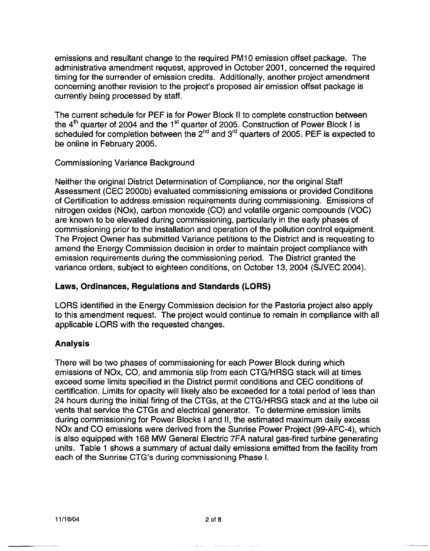emissions and resultant change to the required PM10 emission offset package. The administrative amendment request, approved in October 2001, concerned the required timing for the surrender of emission credits. Additionally, another project amendment concerning another revision to the project's proposed air emission offset package is currently being processed by staff.

The current schedule for PEF is for Power Block II to complete construction between the  $4<sup>th</sup>$  quarter of 2004 and the 1<sup>st</sup> quarter of 2005. Construction of Power Block I is scheduled for completion between the  $2^{nd}$  and  $3^{rd}$  quarters of 2005. PEF is expected to be online in February 2005.

#### Commissioning Variance Background

Neither the original District Determination of Compliance, nor the original Staff Assessment (CEC 2000b) evaluated commissioning emissions or provided Conditions of Certification to address emission requirements during commissioning. Emissions of nitrogen oxides (NOx), carbon monoxide (CO) and volatile organic compounds (VOC) are known to be elevated during commissioning, particularly in the early phases of commissioning prior to the installation and operation of the pollution control equipment. The Project Owner has submitted Variance petitions to the District and is requesting to amend the Energy Commission decision in order to maintain project compliance with emission requirements during the commissioning period. The District granted the variance orders, subject to eighteen conditions, on October 13, 2004 (SJVEC 2004).

#### **Laws, Ordinances, Regulations and Standards (LORS)**

LORS identified in the Energy Commission decision for the Pastoria project also apply to this amendment request. The project would continue to remain in compliance with all applicable LORS with the requested changes.

## **Analysis**

There will be two phases of commissioning for each Power Block during which emissions of NOx, CO, and ammonia slip from each CTG/HRSG stack will at times exceed some limits specified in the District permit conditions and CEC conditions of certification. Limits for opacity will likely also be exceeded for a total period of less than 24 hours during the initial firing of the CTGs, at the CTG/HRSG stack and at the lube oil vents that service the CTGs and electrical generator. To determine emission limits during commissioning for Power Blocks I and 11, the estimated maximum daily excess NOx and CO emissions were derived from the Sunrise Power Project (99-AFC-4), which is also equipped with 168 MW General Electric ?FA natural gas-fired turbine generating units. Table 1 shows a summary of actual daily emissions emitted from the facility from each of the Sunrise CTG's during commissioning Phase I.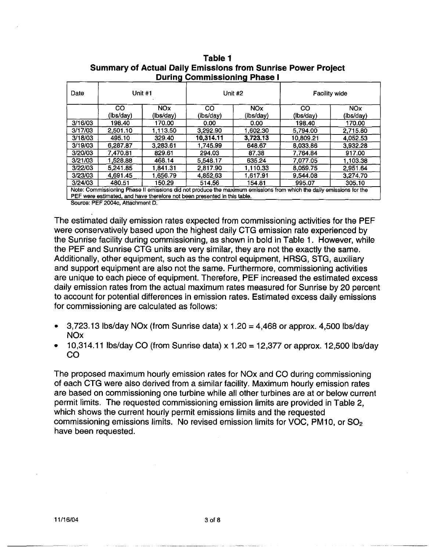|         | ----- ,                |                   |                        |                         |                                                                                                                     |                         |
|---------|------------------------|-------------------|------------------------|-------------------------|---------------------------------------------------------------------------------------------------------------------|-------------------------|
| Date    | Unit #1                |                   | Unit #2                |                         | <b>Facility wide</b>                                                                                                |                         |
|         | <b>CO</b><br>(lbs/day) | NOx.<br>(lbs/day) | <b>CO</b><br>(lbs/day) | <b>NOx</b><br>(lbs/day) | CO<br>(lbs/day)                                                                                                     | <b>NOx</b><br>(lbs/day) |
| 3/16/03 | 198.40                 | 170.00            | 0.00                   | 0.00                    | 198.40                                                                                                              | 170.00                  |
| 3/17/03 | 2,501.10               | 1.113.50          | 3.292.90               | 1.602.30                | 5,794.00                                                                                                            | 2.715.80                |
| 3/18/03 | 495.10                 | 329.40            | 10,314.11              | 3,723.13                | 10.809.21                                                                                                           | 4,052.53                |
| 3/19/03 | 6.287.87               | 3.283.61          | 1.745.99               | 648.67                  | 8,033.86                                                                                                            | 3.932.28                |
| 3/20/03 | 7,470.81               | 829.61            | 294.03                 | 87.38                   | 7.764.84                                                                                                            | 917.00                  |
| 3/21/03 | 1,528.88               | 468.14            | 5.548.17               | 635.24                  | 7.077.05                                                                                                            | 1.103.38                |
| 3/22/03 | 5,241.85               | 841.31,ا          | 2.817.90               | 1.110.33                | 8,059.75                                                                                                            | 2.951.64                |
| 3/23/03 | 4.691.45               | .656.79           | 4,852.63               | 1.617.91                | 9.544.08                                                                                                            | 3,274.70                |
| 3/24/03 | 480.51                 | 150.29            | 514.56                 | 154.81                  | 995.07                                                                                                              | 305.10                  |
|         |                        |                   |                        |                         | Note: Commissioning Phase II emissions did not produce the maximum emissions from which the daily emissions for the |                         |

#### **Table 1 Summary of Actual Daily Emissions from Sunrise Power Project During Commissioning Phase I.**

Note: Commissioning Phase II emissions did not produce the maximum emissions from which the daily emissions for the PEF were estimated, and have therefore not been presented in this table.

Source: PEF 2004c, Attachment D.

The estimated daily emission rates expected from commissioning activities for the PEF were conservatively based upon the highest daily CTG emission rate experienced by the Sunrise facility during commissioning, as shown in bold in Table 1. However, while the PEF and Sunrise CTG units are very similar, they are not the exactly the same. Additionally, other equipment, such as the control equipment, HRSG, STG, auxiliary and support equipment are also not the same. Furthermore, commissioning activities are unique to each piece of equipment. Therefore, PEF increased the estimated excess daily emission rates from the actual maximum rates measured for Sunrise by 20 percent to account for potential differences in emission rates. Estimated excess daily emissions for commissioning are calculated as follows:

- $\frac{3,723.13 \text{ lbs/day}}{0,000 \text{ lbs/day}}$  (from Sunrise data) x 1.20 = 4.468 or approx. 4.500 lbs/day **NOx**
- 10,314.11 lbs/day CO (from Sunrise data) x 1.20 = 12,377 or approx. 12,500 lbs/day co

The proposed maximum hourly emission rates for NOx and CO during commissioning of each CTG were also derived from a similar facility. Maximum hourly emission rates are based on commissioning one turbine while all other turbines are at or below current permit limits. The requested commissioning emission limits are provided in Table 2, which shows the current hourly permit emissions limits and the requested commissioning emissions limits. No revised emission limits for VOC, PM10, or SO<sub>2</sub> have been requested.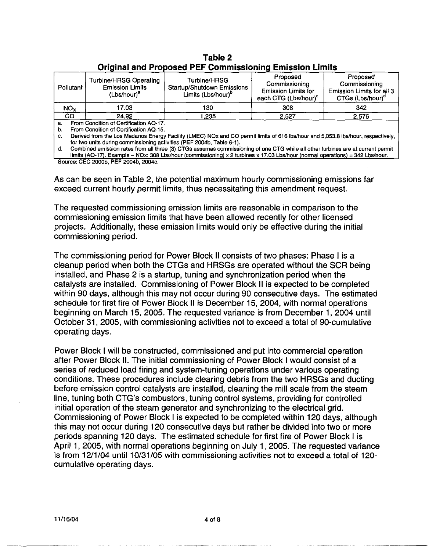| <u> Vinghrui Gha i Typogga i El-Volhnhogioning Emigoloni Enhiq</u> |                                                                                    |                                                                                     |                                                                                             |                                                                                        |
|--------------------------------------------------------------------|------------------------------------------------------------------------------------|-------------------------------------------------------------------------------------|---------------------------------------------------------------------------------------------|----------------------------------------------------------------------------------------|
| Pollutant                                                          | <b>Turbine/HRSG Operating</b><br><b>Emission Limits</b><br>(Lbs/hour) <sup>a</sup> | Turbine/HRSG<br><b>Startup/Shutdown Emissions</b><br>Limits (Lbs/hour) <sup>o</sup> | Proposed<br>Commissioning<br><b>Emission Limits for</b><br>each CTG (Lbs/hour) <sup>c</sup> | Proposed<br>Commissioning<br>Emission Limits for all 3<br>CTGs (Lbs/hour) <sup>d</sup> |
| NO <sub>x</sub>                                                    | 17.03                                                                              | 130.                                                                                | 308                                                                                         | 342                                                                                    |
| CO                                                                 | 24.92                                                                              | . 235                                                                               | 2.527                                                                                       | 2,576                                                                                  |
|                                                                    | From Condition of Certification AO-17.                                             |                                                                                     |                                                                                             |                                                                                        |

# **Original and Proposed PEF Commissioning Emission Limits Table 2**

a. From Condition of Certification AQ-17.

b. From Condition of Certification AQ-15.

C. Derived from the Los Medanos Energy Facility (LMEC) NOx and CO permit limits of 616 lbs/hour and 5,053.8 lbs/hour, respectively, for two units during commissioning activities (PEF 2004b, Table 6-1).

d. Combined emission rates from all three (3) CTGs assumes commissioning of one CTG while all other turbines are at current permit limits (AQ-17). Example - NOx: 308 Lbs/hour (commissioning) x 2 turbines x 17.03 Lbs/hour (normal operations) = 342 Lbs/hour. Source: CEC 2000b, PEF 2004b, 2004c.

As can be seen in Table 2, the potential maximum hourly commissioning emissions far exceed current hourly permit limits, thus necessitating this amendment request.

The requested commissioning emission limits are reasonable in comparison to the commissioning emission limits that have been allowed recently for other licensed projects. Additionally, these emission limits would only be effective during the initial commissioning period.

The commissioning period for Power Block II consists of two phases: Phase I is a cleanup period when both the CTGs and HRSGs are operated without the SCR being installed, and Phase 2 is a startup, tuning and synchronization period when the catalysts are installed. Commissioning of Power Block II is expected to be completed within 90 days, although this may not occur during 90 consecutive days. The estimated schedule for first fire of Power Block II is December 15, 2004, with normal operations beginning on March 15, 2005. The requested variance is from December 1, 2004 until October 31, 2005, with commissioning activities not to exceed a total of 90-cumulative operating days.

Power Block I will be constructed, commissioned and put into commercial operation after Power Block II. The initial commissioning of Power Block I would consist of a series of reduced load firing and system-tuning operations under various operating conditions. These procedures include clearing debris from the two HRSGs and ducting before emission control catalysts are installed, cleaning the mill scale from the steam line, tuning both CTG's combustors, tuning control systems, providing for controlled initial operation of the steam generator and synchronizing to the electrical grid. Commissioning of Power Block I is expected to be completed within 120 days, although this may not occur during 120 consecutive days but rather be divided into two or more periods spanning 120 days. The estimated schedule for first fire of Power Block I is April 1, 2005, with normal operations beginning on July 1, 2005. The requested variance is from 12/1/04 until 10/31/05 with commissioning activities not to exceed a total of 120cumulative operating days.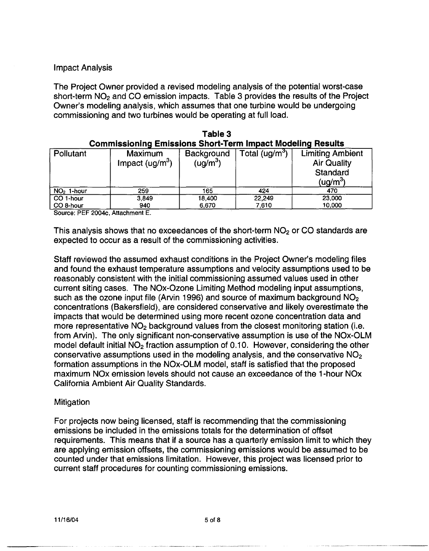## Impact Analysis

The Project Owner provided a revised modeling analysis of the potential worst-case short-term  $NO<sub>2</sub>$  and CO emission impacts. Table 3 provides the results of the Project Owner's modeling analysis, which assumes that one turbine would be undergoing commissioning and two turbines would be operating at full load.

| <b>Commissioning Emissions Short-Term Impact Modeling Results</b> |                                    |                                    |                            |                                                                                   |
|-------------------------------------------------------------------|------------------------------------|------------------------------------|----------------------------|-----------------------------------------------------------------------------------|
| Pollutant                                                         | <b>Maximum</b><br>Impact $(ug/m3)$ | Background<br>(ug/m <sup>3</sup> ) | Total (ug/m <sup>3</sup> ) | <b>Limiting Ambient</b><br><b>Air Quality</b><br>Standard<br>(ug/m <sup>3</sup> ) |
| $NO2$ 1-hour                                                      | 259                                | 165                                | 424                        | 470                                                                               |
| CO 1-hour                                                         | 3,849                              | 18,400                             | 22,249                     | 23,000                                                                            |
| CO 8-hour                                                         | 940                                | 6,670                              | 7,610                      | 10,000                                                                            |

| Table 3                                                           |  |
|-------------------------------------------------------------------|--|
| <b>Commissioning Emissions Short-Term Impact Modeling Results</b> |  |

Source. PEF 2004c, Attachment E.

This analysis shows that no exceedances of the short-term  $NO<sub>2</sub>$  or CO standards are expected to occur as a result of the commissioning activities.

Staff reviewed the assumed exhaust conditions in the Project Owner's modeling files and found the exhaust temperature assumptions and velocity assumptions used to be reasonably consistent with the initial commissioning assumed values used in other current siting cases. The NOx-Ozone Limiting Method modeling input assumptions, such as the ozone input file (Arvin 1996) and source of maximum background NO<sub>2</sub> concentrations (Bakersfield), are considered conservative and likely overestimate the impacts that would be determined using more recent ozone concentration data and more representative  $NO<sub>2</sub>$  background values from the closest monitoring station (i.e. from Arvin). The only significant non-conservative assumption is use of the NOx-OLM model default initial NO<sub>2</sub> fraction assumption of 0.10. However, considering the other conservative assumptions used in the modeling analysis, and the conservative  $NO<sub>2</sub>$ formation assumptions in the NOx-OLM model, staff is satisfied that the proposed maximum NOx emission levels should not cause an exceedance of the 1-hour NOx California Ambient Air Quality Standards.

#### **Mitigation**

For projects now being licensed, staff is recommending that the commissioning emissions be included in the emissions totals for the determination of offset requirements. This means that if a source has a quarterly emission limit to which they are applying emission offsets, the commissioning emissions would be assumed to be counted under that emissions limitation. However, this project was licensed prior to current staff procedures for counting commissioning emissions.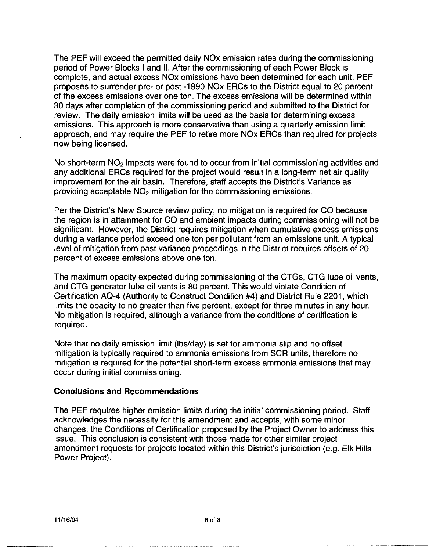The PEF will exceed the permitted daily NOx emission rates during the commissioning period of Power Blocks I and II. After the commissioning of each Power Block is complete, and actual excess NOx emissions have been determined for each unit, PEF proposes to surrender pre- or post -1990 NOx ERCs to the District equal to 20 percent of the excess emissions over one ton. The excess emissions will be determined within 30 days after completion of the commissioning period and submitted to the District for review. The daily emission limits will be used as the basis for determining excess emissions. This approach is more conservative than using a quarterly emission limit approach, and may require the PEF to retire more NOx ERCs than required for projects now being licensed.

No short-term NO<sub>2</sub> impacts were found to occur from initial commissioning activities and any additional ERCs required for the project would result in a long-term net air quality improvement for the air basin. Therefore, staff accepts the District's Variance as providing acceptable NO2 mitigation for the commissioning emissions.

Per the District's New Source review policy, no mitigation is required for CO because the region is in attainment for CO and ambient impacts during commissioning will not be significant. However, the District requires mitigation when cumulative excess emissions during a variance period exceed one ton per pollutant from an emissions unit. A typical level of mitigation from past variance proceedings in the District requires offsets of 20 percent of excess emissions above one ton.

The maximum opacity expected during commissioning of the CTGs, CTG lube oil vents, and CTG generator lube oil vents is 80 percent. This would violate Condition of Certification AQ-4 (Authority to Construct Condition #4) and District Rule 2201, which limits the opacity to no greater than five percent, except for three minutes in any hour. No mitigation is required, although a variance from the conditions of certification is required.

Note that no daily emission limit (lbs/day) is set for ammonia slip and no offset mitigation is typically required to ammonia emissions from SCR units, therefore no mitigation is required for the potential short-term excess ammonia emissions that may occur during initial commissioning.

#### **Conclusions and Recommendations**

The PEF requires higher emission limits during the initial commissioning period. Staff acknowledges the necessity for this amendment and accepts, with some minor changes, the Conditions of Certification proposed by the Project Owner to address this issue. This conclusion is consistent with those made for other similar project amendment requests for projects located within this District's jurisdiction (e.g. Elk Hills Power Project).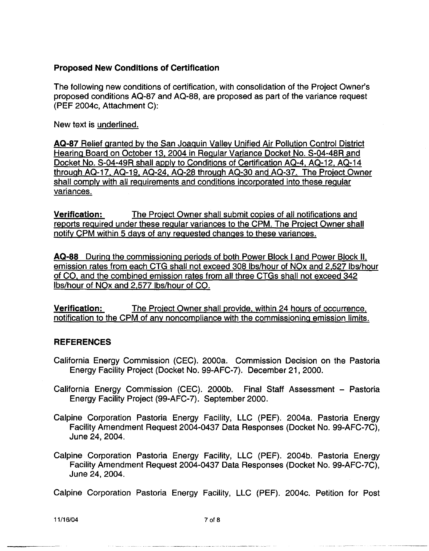# **Proposed New Conditions of Certification**

The following new conditions of certification, with consolidation of the Project Owner's proposed conditions AQ-87 and AQ-88, are proposed as part of the variance request (PEF 2004c, Attachment C):

New text is underlined.

**AQ-87** Relief granted by the San Joaquin Valley Unified Air Pollution Control District Hearing Board on October 13, 2004 in Regular Variance Docket No. S-04-48R and Docket No. S-04-49R shall apply to Conditions of Certification AQ-4, AQ-12, AQ-14 through AQ-17, AQ-19, AQ-24, AQ-28 through AQ-30 and AQ-37. The Project Owner shall comply with all requirements and conditions incorporated into these regular variances.

**Verification:** The Project Owner shall submit copies of all notifications and reports required under these regular variances to the CPM. The Project Owner shall notify CPM within 5 days of any requested changes to these variances.

**AQ-88** During the commissioning periods of both Power Block I and Power Block II, emission rates from each CTG shall not exceed 308 lbs/hour of NOx and 2,527 lbs/hour of CO, and the combined emission rates from all three CTGs shall not exceed 342 lbs/hour of NOx and 2,577 lbs/hour of CO.

**Verification:** The Project Owner shall provide, within 24 hours of occurrence, notification to the CPM of any noncompliance with the commissioning emission limits.

## **REFERENCES**

- California Energy Commission (CEC). 2000a. Commission Decision on the Pastoria Energy Facility Project (Docket No. 99-AFC-7). December 21, 2000.
- California Energy Commission (CEC). 2000b. Final Staff Assessment Pastoria Energy Facility Project (99-AFC-7). September 2000.
- Calpine Corporation Pastoria Energy Facility, LLC (PEF). 2004a. Pastoria Energy Facility Amendment Request 2004-0437 Data Responses (Docket No. 99-AFC-7C), June 24, 2004.
- Calpine Corporation Pastoria Energy Facility, LLC (PEF). 2004b. Pastoria Energy Facility Amendment Request 2004-0437 Data Responses (Docket No. 99-AFC-7C), June 24, 2004.

Calpine Corporation Pastoria Energy Facility, LLC (PEF). 2004c. Petition for Post

11/16/04 7 of 8